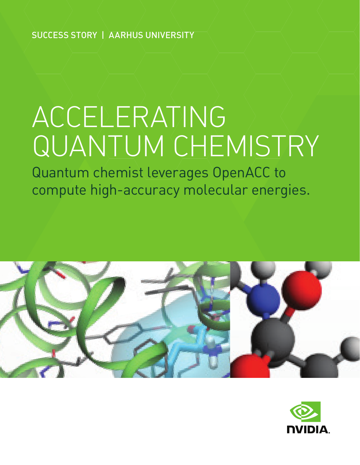SUCCESS STORY | AARHUS UNIVERSITY

# ACCELERATING QUANTUM CHEMISTRY

Quantum chemist leverages OpenACC to compute high-accuracy molecular energies.



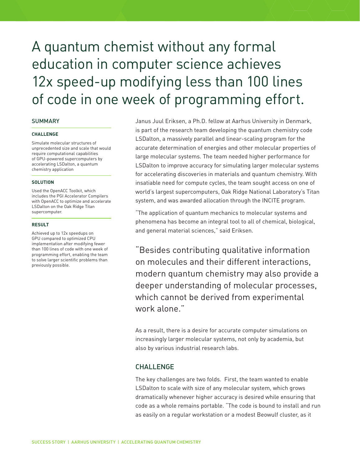# A quantum chemist without any formal education in computer science achieves 12x speed-up modifying less than 100 lines of code in one week of programming effort.

### **SUMMARY**

#### **CHALLENGE**

Simulate molecular structures of unprecedented size and scale that would require computational capabilities of GPU-powered supercomputers by accelerating LSDalton, a quantum chemistry application

#### **SOLUTION**

Used the OpenACC Toolkit, which includes the PGI Accelerator Compilers with OpenACC to optimize and accelerate LSDalton on the Oak Ridge Titan supercomputer.

#### **RESULT**

Achieved up to 12x speedups on GPU compared to optimized CPU implementation after modifying fewer than 100 lines of code with one week of programming effort, enabling the team to solve larger scientific problems than previously possible.

Janus Juul Eriksen, a Ph.D. fellow at Aarhus University in Denmark, is part of the research team developing the quantum chemistry code LSDalton, a massively parallel and linear-scaling program for the accurate determination of energies and other molecular properties of large molecular systems. The team needed higher performance for LSDalton to improve accuracy for simulating larger molecular systems for accelerating discoveries in materials and quantum chemistry. With insatiable need for compute cycles, the team sought access on one of world's largest supercomputers, Oak Ridge National Laboratory's Titan system, and was awarded allocation through the INCITE program.

"The application of quantum mechanics to molecular systems and phenomena has become an integral tool to all of chemical, biological, and general material sciences," said Eriksen.

"Besides contributing qualitative information on molecules and their different interactions, modern quantum chemistry may also provide a deeper understanding of molecular processes, which cannot be derived from experimental work alone."

As a result, there is a desire for accurate computer simulations on increasingly larger molecular systems, not only by academia, but also by various industrial research labs.

# CHALLENGE

The key challenges are two folds. First, the team wanted to enable LSDalton to scale with size of any molecular system, which grows dramatically whenever higher accuracy is desired while ensuring that code as a whole remains portable. "The code is bound to install and run as easily on a regular workstation or a modest Beowulf cluster, as it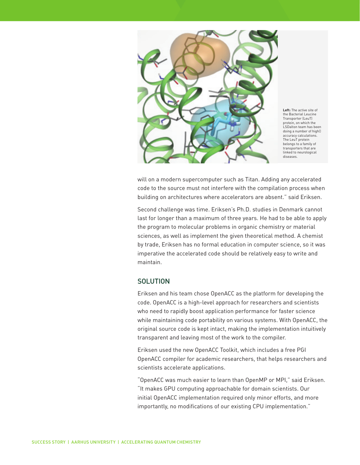

**Left:** The active site of the Bacterial Leucine Transporter (LeuT) protein, on which the LSDalton team has been doing a number of high‐ accuracy calculations. The LeuT protein belongs to a family of transporters that are linked to neurological diseases.

will on a modern supercomputer such as Titan. Adding any accelerated code to the source must not interfere with the compilation process when building on architectures where accelerators are absent." said Eriksen.

Second challenge was time. Eriksen's Ph.D. studies in Denmark cannot last for longer than a maximum of three years. He had to be able to apply the program to molecular problems in organic chemistry or material sciences, as well as implement the given theoretical method. A chemist by trade, Eriksen has no formal education in computer science, so it was imperative the accelerated code should be relatively easy to write and maintain.

# **SOLUTION**

Eriksen and his team chose OpenACC as the platform for developing the code. OpenACC is a high-level approach for researchers and scientists who need to rapidly boost application performance for faster science while maintaining code portability on various systems. With OpenACC, the original source code is kept intact, making the implementation intuitively transparent and leaving most of the work to the compiler.

Eriksen used the new OpenACC Toolkit, which includes a free PGI OpenACC compiler for academic researchers, that helps researchers and scientists accelerate applications.

"OpenACC was much easier to learn than OpenMP or MPI," said Eriksen. "It makes GPU computing approachable for domain scientists. Our initial OpenACC implementation required only minor efforts, and more importantly, no modifications of our existing CPU implementation."